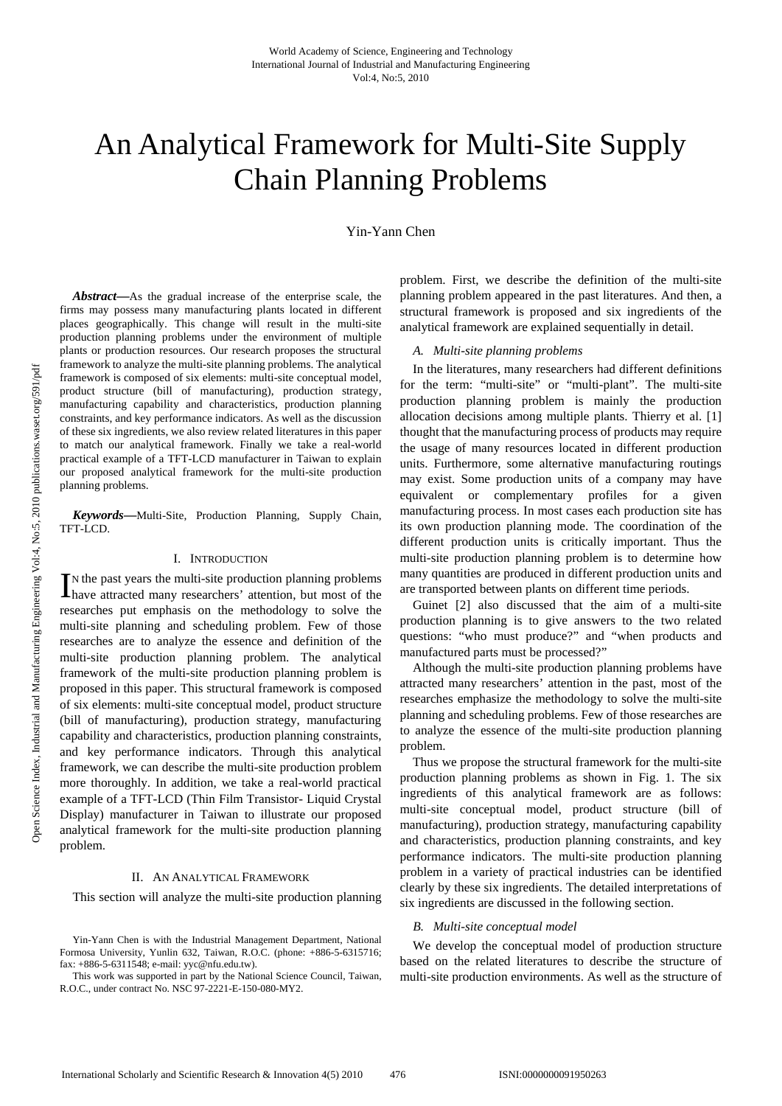# An Analytical Framework for Multi-Site Supply Chain Planning Problems

Yin-Yann Chen

*Abstract***—**As the gradual increase of the enterprise scale, the firms may possess many manufacturing plants located in different places geographically. This change will result in the multi-site production planning problems under the environment of multiple plants or production resources. Our research proposes the structural framework to analyze the multi-site planning problems. The analytical framework is composed of six elements: multi-site conceptual model, product structure (bill of manufacturing), production strategy, manufacturing capability and characteristics, production planning constraints, and key performance indicators. As well as the discussion of these six ingredients, we also review related literatures in this paper to match our analytical framework. Finally we take a real-world practical example of a TFT-LCD manufacturer in Taiwan to explain our proposed analytical framework for the multi-site production planning problems.

*Keywords***—**Multi-Site, Production Planning, Supply Chain, TFT-LCD.

### I. INTRODUCTION

N the past years the multi-site production planning problems In the past years the multi-site production planning problems<br>have attracted many researchers' attention, but most of the researches put emphasis on the methodology to solve the multi-site planning and scheduling problem. Few of those researches are to analyze the essence and definition of the multi-site production planning problem. The analytical framework of the multi-site production planning problem is proposed in this paper. This structural framework is composed of six elements: multi-site conceptual model, product structure (bill of manufacturing), production strategy, manufacturing capability and characteristics, production planning constraints, and key performance indicators. Through this analytical framework, we can describe the multi-site production problem more thoroughly. In addition, we take a real-world practical example of a TFT-LCD (Thin Film Transistor- Liquid Crystal Display) manufacturer in Taiwan to illustrate our proposed analytical framework for the multi-site production planning problem.

#### II. AN ANALYTICAL FRAMEWORK

This section will analyze the multi-site production planning

problem. First, we describe the definition of the multi-site planning problem appeared in the past literatures. And then, a structural framework is proposed and six ingredients of the analytical framework are explained sequentially in detail.

#### *A. Multi-site planning problems*

In the literatures, many researchers had different definitions for the term: "multi-site" or "multi-plant". The multi-site production planning problem is mainly the production allocation decisions among multiple plants. Thierry et al. [1] thought that the manufacturing process of products may require the usage of many resources located in different production units. Furthermore, some alternative manufacturing routings may exist. Some production units of a company may have equivalent or complementary profiles for a given manufacturing process. In most cases each production site has its own production planning mode. The coordination of the different production units is critically important. Thus the multi-site production planning problem is to determine how many quantities are produced in different production units and are transported between plants on different time periods.

Guinet [2] also discussed that the aim of a multi-site production planning is to give answers to the two related questions: "who must produce?" and "when products and manufactured parts must be processed?"

Although the multi-site production planning problems have attracted many researchers' attention in the past, most of the researches emphasize the methodology to solve the multi-site planning and scheduling problems. Few of those researches are to analyze the essence of the multi-site production planning problem.

Thus we propose the structural framework for the multi-site production planning problems as shown in Fig. 1. The six ingredients of this analytical framework are as follows: multi-site conceptual model, product structure (bill of manufacturing), production strategy, manufacturing capability and characteristics, production planning constraints, and key performance indicators. The multi-site production planning problem in a variety of practical industries can be identified clearly by these six ingredients. The detailed interpretations of six ingredients are discussed in the following section.

#### *B. Multi-site conceptual model*

We develop the conceptual model of production structure based on the related literatures to describe the structure of multi-site production environments. As well as the structure of

Yin-Yann Chen is with the Industrial Management Department, National Formosa University, Yunlin 632, Taiwan, R.O.C. (phone: +886-5-6315716; fax: +886-5-6311548; e-mail: yyc@nfu.edu.tw).

This work was supported in part by the National Science Council, Taiwan, R.O.C., under contract No. NSC 97-2221-E-150-080-MY2.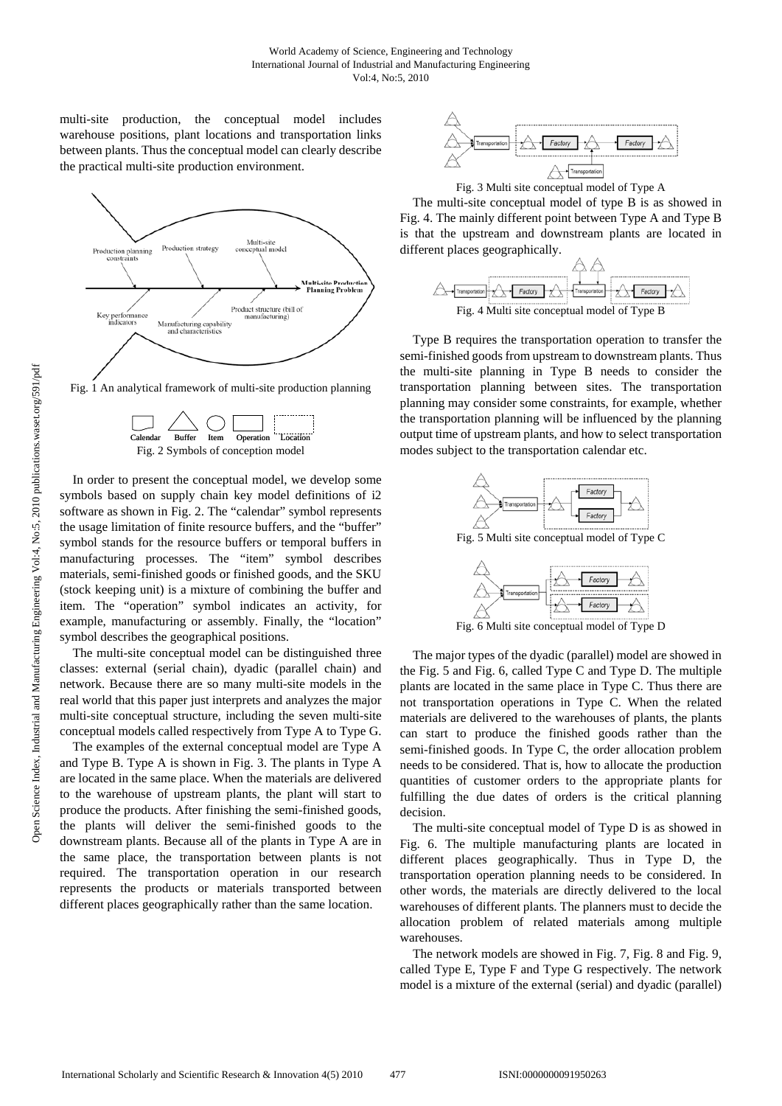multi-site production, the conceptual model includes warehouse positions, plant locations and transportation links between plants. Thus the conceptual model can clearly describe the practical multi-site production environment.



Fig. 1 An analytical framework of multi-site production planning



In order to present the conceptual model, we develop some symbols based on supply chain key model definitions of i2 software as shown in Fig. 2. The "calendar" symbol represents the usage limitation of finite resource buffers, and the "buffer" symbol stands for the resource buffers or temporal buffers in manufacturing processes. The "item" symbol describes materials, semi-finished goods or finished goods, and the SKU (stock keeping unit) is a mixture of combining the buffer and item. The "operation" symbol indicates an activity, for example, manufacturing or assembly. Finally, the "location" symbol describes the geographical positions.

The multi-site conceptual model can be distinguished three classes: external (serial chain), dyadic (parallel chain) and network. Because there are so many multi-site models in the real world that this paper just interprets and analyzes the major multi-site conceptual structure, including the seven multi-site conceptual models called respectively from Type A to Type G.

The examples of the external conceptual model are Type A and Type B. Type A is shown in Fig. 3. The plants in Type A are located in the same place. When the materials are delivered to the warehouse of upstream plants, the plant will start to produce the products. After finishing the semi-finished goods, the plants will deliver the semi-finished goods to the downstream plants. Because all of the plants in Type A are in the same place, the transportation between plants is not required. The transportation operation in our research represents the products or materials transported between different places geographically rather than the same location.



Fig. 3 Multi site conceptual model of Type A

The multi-site conceptual model of type B is as showed in Fig. 4. The mainly different point between Type A and Type B is that the upstream and downstream plants are located in different places geographically.



Type B requires the transportation operation to transfer the semi-finished goods from upstream to downstream plants. Thus the multi-site planning in Type B needs to consider the transportation planning between sites. The transportation planning may consider some constraints, for example, whether the transportation planning will be influenced by the planning output time of upstream plants, and how to select transportation modes subject to the transportation calendar etc.



Fig. 5 Multi site conceptual model of Type C



Fig. 6 Multi site conceptual model of Type D

The major types of the dyadic (parallel) model are showed in the Fig. 5 and Fig. 6, called Type C and Type D. The multiple plants are located in the same place in Type C. Thus there are not transportation operations in Type C. When the related materials are delivered to the warehouses of plants, the plants can start to produce the finished goods rather than the semi-finished goods. In Type C, the order allocation problem needs to be considered. That is, how to allocate the production quantities of customer orders to the appropriate plants for fulfilling the due dates of orders is the critical planning decision.

The multi-site conceptual model of Type D is as showed in Fig. 6. The multiple manufacturing plants are located in different places geographically. Thus in Type D, the transportation operation planning needs to be considered. In other words, the materials are directly delivered to the local warehouses of different plants. The planners must to decide the allocation problem of related materials among multiple warehouses.

The network models are showed in Fig. 7, Fig. 8 and Fig. 9, called Type E, Type F and Type G respectively. The network model is a mixture of the external (serial) and dyadic (parallel)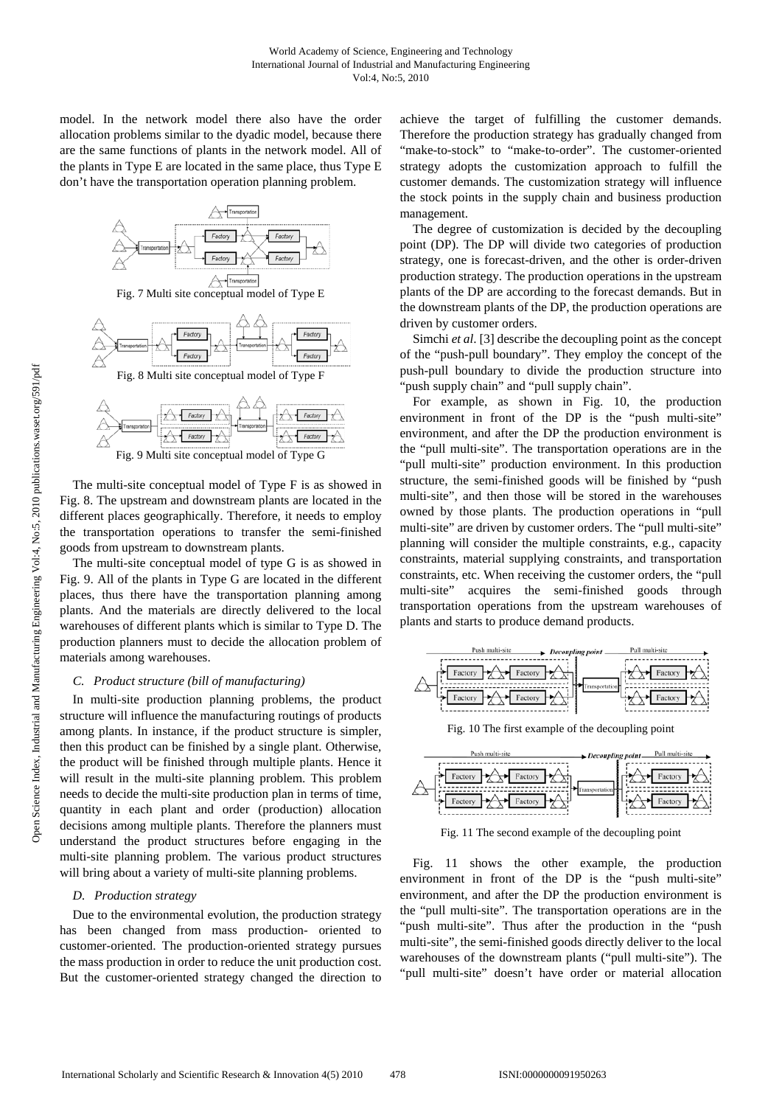model. In the network model there also have the order allocation problems similar to the dyadic model, because there are the same functions of plants in the network model. All of the plants in Type E are located in the same place, thus Type E don't have the transportation operation planning problem.





Fig. 9 Multi site conceptual model of Type G

The multi-site conceptual model of Type F is as showed in Fig. 8. The upstream and downstream plants are located in the different places geographically. Therefore, it needs to employ the transportation operations to transfer the semi-finished goods from upstream to downstream plants.

The multi-site conceptual model of type G is as showed in Fig. 9. All of the plants in Type G are located in the different places, thus there have the transportation planning among plants. And the materials are directly delivered to the local warehouses of different plants which is similar to Type D. The production planners must to decide the allocation problem of materials among warehouses.

## *C. Product structure (bill of manufacturing)*

In multi-site production planning problems, the product structure will influence the manufacturing routings of products among plants. In instance, if the product structure is simpler, then this product can be finished by a single plant. Otherwise, the product will be finished through multiple plants. Hence it will result in the multi-site planning problem. This problem needs to decide the multi-site production plan in terms of time, quantity in each plant and order (production) allocation decisions among multiple plants. Therefore the planners must understand the product structures before engaging in the multi-site planning problem. The various product structures will bring about a variety of multi-site planning problems.

#### *D. Production strategy*

Due to the environmental evolution, the production strategy has been changed from mass production- oriented to customer-oriented. The production-oriented strategy pursues the mass production in order to reduce the unit production cost. But the customer-oriented strategy changed the direction to achieve the target of fulfilling the customer demands. Therefore the production strategy has gradually changed from "make-to-stock" to "make-to-order". The customer-oriented strategy adopts the customization approach to fulfill the customer demands. The customization strategy will influence the stock points in the supply chain and business production management.

The degree of customization is decided by the decoupling point (DP). The DP will divide two categories of production strategy, one is forecast-driven, and the other is order-driven production strategy. The production operations in the upstream plants of the DP are according to the forecast demands. But in the downstream plants of the DP, the production operations are driven by customer orders.

Simchi *et al*. [3] describe the decoupling point as the concept of the "push-pull boundary". They employ the concept of the push-pull boundary to divide the production structure into "push supply chain" and "pull supply chain".

For example, as shown in Fig. 10, the production environment in front of the DP is the "push multi-site" environment, and after the DP the production environment is the "pull multi-site". The transportation operations are in the "pull multi-site" production environment. In this production structure, the semi-finished goods will be finished by "push multi-site", and then those will be stored in the warehouses owned by those plants. The production operations in "pull multi-site" are driven by customer orders. The "pull multi-site" planning will consider the multiple constraints, e.g., capacity constraints, material supplying constraints, and transportation constraints, etc. When receiving the customer orders, the "pull multi-site" acquires the semi-finished goods through transportation operations from the upstream warehouses of plants and starts to produce demand products.



Fig. 10 The first example of the decoupling point



Fig. 11 The second example of the decoupling point

Fig. 11 shows the other example, the production environment in front of the DP is the "push multi-site" environment, and after the DP the production environment is the "pull multi-site". The transportation operations are in the "push multi-site". Thus after the production in the "push multi-site", the semi-finished goods directly deliver to the local warehouses of the downstream plants ("pull multi-site"). The "pull multi-site" doesn't have order or material allocation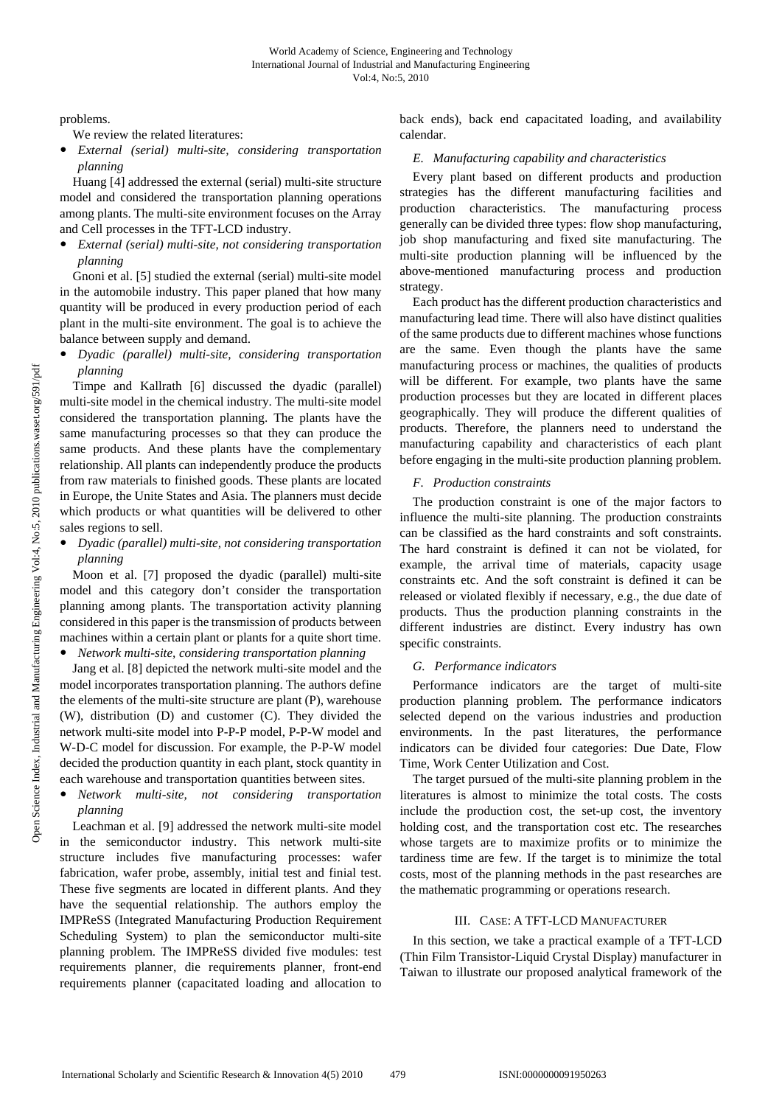problems.

We review the related literatures:

y *External (serial) multi-site, considering transportation planning* 

Huang [4] addressed the external (serial) multi-site structure model and considered the transportation planning operations among plants. The multi-site environment focuses on the Array and Cell processes in the TFT-LCD industry.

y *External (serial) multi-site, not considering transportation planning* 

Gnoni et al. [5] studied the external (serial) multi-site model in the automobile industry. This paper planed that how many quantity will be produced in every production period of each plant in the multi-site environment. The goal is to achieve the balance between supply and demand.

y *Dyadic (parallel) multi-site, considering transportation planning* 

Timpe and Kallrath [6] discussed the dyadic (parallel) multi-site model in the chemical industry. The multi-site model considered the transportation planning. The plants have the same manufacturing processes so that they can produce the same products. And these plants have the complementary relationship. All plants can independently produce the products from raw materials to finished goods. These plants are located in Europe, the Unite States and Asia. The planners must decide which products or what quantities will be delivered to other sales regions to sell.

y *Dyadic (parallel) multi-site, not considering transportation planning* 

Moon et al. [7] proposed the dyadic (parallel) multi-site model and this category don't consider the transportation planning among plants. The transportation activity planning considered in this paper is the transmission of products between machines within a certain plant or plants for a quite short time.

*Network multi-site, considering transportation planning* 

Jang et al. [8] depicted the network multi-site model and the model incorporates transportation planning. The authors define the elements of the multi-site structure are plant (P), warehouse (W), distribution (D) and customer (C). They divided the network multi-site model into P-P-P model, P-P-W model and W-D-C model for discussion. For example, the P-P-W model decided the production quantity in each plant, stock quantity in each warehouse and transportation quantities between sites.

y *Network multi-site, not considering transportation planning* 

Leachman et al. [9] addressed the network multi-site model in the semiconductor industry. This network multi-site structure includes five manufacturing processes: wafer fabrication, wafer probe, assembly, initial test and finial test. These five segments are located in different plants. And they have the sequential relationship. The authors employ the IMPReSS (Integrated Manufacturing Production Requirement Scheduling System) to plan the semiconductor multi-site planning problem. The IMPReSS divided five modules: test requirements planner, die requirements planner, front-end requirements planner (capacitated loading and allocation to back ends), back end capacitated loading, and availability calendar.

# *E. Manufacturing capability and characteristics*

Every plant based on different products and production strategies has the different manufacturing facilities and production characteristics. The manufacturing process generally can be divided three types: flow shop manufacturing, job shop manufacturing and fixed site manufacturing. The multi-site production planning will be influenced by the above-mentioned manufacturing process and production strategy.

Each product has the different production characteristics and manufacturing lead time. There will also have distinct qualities of the same products due to different machines whose functions are the same. Even though the plants have the same manufacturing process or machines, the qualities of products will be different. For example, two plants have the same production processes but they are located in different places geographically. They will produce the different qualities of products. Therefore, the planners need to understand the manufacturing capability and characteristics of each plant before engaging in the multi-site production planning problem.

# *F. Production constraints*

The production constraint is one of the major factors to influence the multi-site planning. The production constraints can be classified as the hard constraints and soft constraints. The hard constraint is defined it can not be violated, for example, the arrival time of materials, capacity usage constraints etc. And the soft constraint is defined it can be released or violated flexibly if necessary, e.g., the due date of products. Thus the production planning constraints in the different industries are distinct. Every industry has own specific constraints.

# *G. Performance indicators*

Performance indicators are the target of multi-site production planning problem. The performance indicators selected depend on the various industries and production environments. In the past literatures, the performance indicators can be divided four categories: Due Date, Flow Time, Work Center Utilization and Cost.

The target pursued of the multi-site planning problem in the literatures is almost to minimize the total costs. The costs include the production cost, the set-up cost, the inventory holding cost, and the transportation cost etc. The researches whose targets are to maximize profits or to minimize the tardiness time are few. If the target is to minimize the total costs, most of the planning methods in the past researches are the mathematic programming or operations research.

# III. CASE: A TFT-LCD MANUFACTURER

In this section, we take a practical example of a TFT-LCD (Thin Film Transistor-Liquid Crystal Display) manufacturer in Taiwan to illustrate our proposed analytical framework of the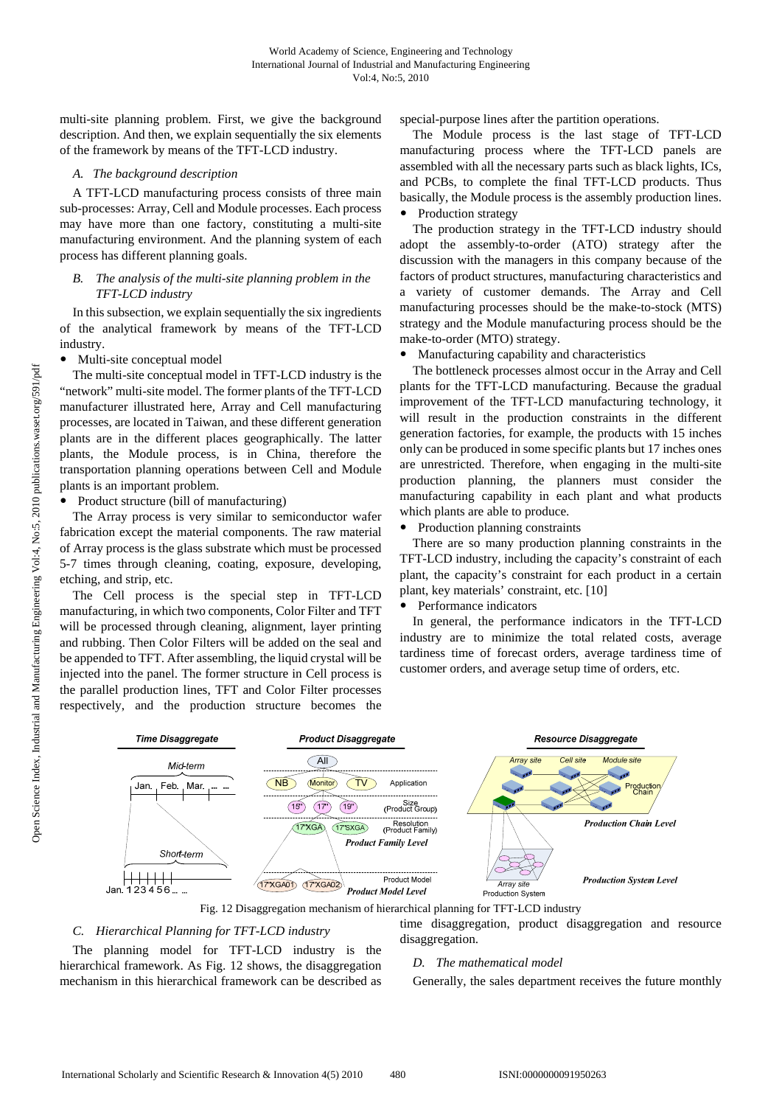multi-site planning problem. First, we give the background description. And then, we explain sequentially the six elements of the framework by means of the TFT-LCD industry.

## *A. The background description*

A TFT-LCD manufacturing process consists of three main sub-processes: Array, Cell and Module processes. Each process may have more than one factory, constituting a multi-site manufacturing environment. And the planning system of each process has different planning goals.

## *B. The analysis of the multi-site planning problem in the TFT-LCD industry*

In this subsection, we explain sequentially the six ingredients of the analytical framework by means of the TFT-LCD industry.

Multi-site conceptual model

The multi-site conceptual model in TFT-LCD industry is the "network" multi-site model. The former plants of the TFT-LCD manufacturer illustrated here, Array and Cell manufacturing processes, are located in Taiwan, and these different generation plants are in the different places geographically. The latter plants, the Module process, is in China, therefore the transportation planning operations between Cell and Module plants is an important problem.

Product structure (bill of manufacturing)

The Array process is very similar to semiconductor wafer fabrication except the material components. The raw material of Array process is the glass substrate which must be processed 5-7 times through cleaning, coating, exposure, developing, etching, and strip, etc.

The Cell process is the special step in TFT-LCD manufacturing, in which two components, Color Filter and TFT will be processed through cleaning, alignment, layer printing and rubbing. Then Color Filters will be added on the seal and be appended to TFT. After assembling, the liquid crystal will be injected into the panel. The former structure in Cell process is the parallel production lines, TFT and Color Filter processes respectively, and the production structure becomes the special-purpose lines after the partition operations.

The Module process is the last stage of TFT-LCD manufacturing process where the TFT-LCD panels are assembled with all the necessary parts such as black lights, ICs, and PCBs, to complete the final TFT-LCD products. Thus basically, the Module process is the assembly production lines. Production strategy

The production strategy in the TFT-LCD industry should adopt the assembly-to-order (ATO) strategy after the discussion with the managers in this company because of the factors of product structures, manufacturing characteristics and a variety of customer demands. The Array and Cell manufacturing processes should be the make-to-stock (MTS) strategy and the Module manufacturing process should be the make-to-order (MTO) strategy.

• Manufacturing capability and characteristics

The bottleneck processes almost occur in the Array and Cell plants for the TFT-LCD manufacturing. Because the gradual improvement of the TFT-LCD manufacturing technology, it will result in the production constraints in the different generation factories, for example, the products with 15 inches only can be produced in some specific plants but 17 inches ones are unrestricted. Therefore, when engaging in the multi-site production planning, the planners must consider the manufacturing capability in each plant and what products which plants are able to produce.

Production planning constraints

There are so many production planning constraints in the TFT-LCD industry, including the capacity's constraint of each plant, the capacity's constraint for each product in a certain plant, key materials' constraint, etc. [10]

• Performance indicators

In general, the performance indicators in the TFT-LCD industry are to minimize the total related costs, average tardiness time of forecast orders, average tardiness time of customer orders, and average setup time of orders, etc.



## *C. Hierarchical Planning for TFT-LCD industry*

The planning model for TFT-LCD industry is the hierarchical framework. As Fig. 12 shows, the disaggregation mechanism in this hierarchical framework can be described as time disaggregation, product disaggregation and resource disaggregation.

# *D. The mathematical model*

Generally, the sales department receives the future monthly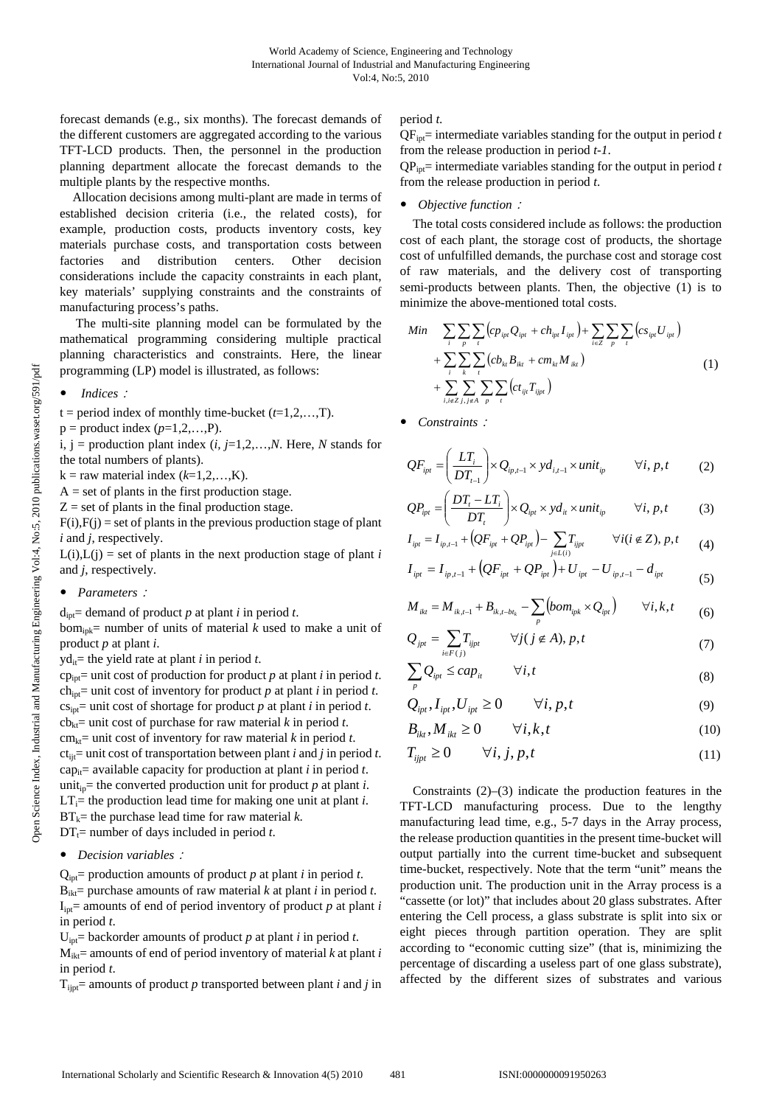forecast demands (e.g., six months). The forecast demands of the different customers are aggregated according to the various TFT-LCD products. Then, the personnel in the production planning department allocate the forecast demands to the multiple plants by the respective months.

Allocation decisions among multi-plant are made in terms of established decision criteria (i.e., the related costs), for example, production costs, products inventory costs, key materials purchase costs, and transportation costs between factories and distribution centers. Other decision considerations include the capacity constraints in each plant, key materials' supplying constraints and the constraints of manufacturing process's paths.

 The multi-site planning model can be formulated by the mathematical programming considering multiple practical planning characteristics and constraints. Here, the linear programming (LP) model is illustrated, as follows:

- *Indices*:
- $t = period$  index of monthly time-bucket  $(t=1,2,...,T)$ .
- $p =$  product index  $(p=1,2,...,P)$ .

i,  $j =$  production plant index  $(i, j=1,2,...,N$ . Here, *N* stands for the total numbers of plants).

- $k =$ raw material index  $(k=1,2,...,K)$ .
- $A = set of plants in the first production stage.$
- $Z =$  set of plants in the final production stage.
- $F(i)$ , $F(j)$  = set of plants in the previous production stage of plant *i* and *j*, respectively.
- $L(i), L(i)$  = set of plants in the next production stage of plant *i* and *j*, respectively.
- y *Parameters*:

 $d_{\text{int}}$  demand of product *p* at plant *i* in period *t*.

 $bom_{ipk}=$  number of units of material *k* used to make a unit of product *p* at plant *i*.

 $y\hat{d}$ <sub>it</sub> = the yield rate at plant *i* in period *t*.

 $cp_{\text{int}}$  unit cost of production for product *p* at plant *i* in period *t*. ch<sub>ipt</sub>= unit cost of inventory for product  $p$  at plant  $i$  in period  $t$ .  $cs_{\text{int}}$  unit cost of shortage for product *p* at plant *i* in period *t*.  $cb_{kt}$ = unit cost of purchase for raw material *k* in period *t*. cm<sub>kt</sub>= unit cost of inventory for raw material  $k$  in period  $t$ .  $ct_{ii}$ = unit cost of transportation between plant *i* and *j* in period *t*. cap<sub>it</sub>= available capacity for production at plant *i* in period *t*. unit<sub>in</sub>= the converted production unit for product *p* at plant *i*.  $LT_i$ = the production lead time for making one unit at plant *i*.  $BT_k$ = the purchase lead time for raw material *k*.  $DT_t$ = number of days included in period *t*.

# • *Decision variables*:

 $Q_{\text{int}}$  production amounts of product *p* at plant *i* in period *t*.  $B_{ik}$ = purchase amounts of raw material *k* at plant *i* in period *t*.  $I_{\text{int}}$  amounts of end of period inventory of product *p* at plant *i* in period *t*.

 $U_{\text{int}}$  backorder amounts of product *p* at plant *i* in period *t*.

 $M_{ikt}$  amounts of end of period inventory of material  $k$  at plant  $i$ in period *t*.

 $T_{\text{int}}$  amounts of product *p* transported between plant *i* and *j* in

period *t*.

QFipt= intermediate variables standing for the output in period *t* from the release production in period *t-1*.

 $QP_{\text{int}}$ = intermediate variables standing for the output in period *t* from the release production in period *t*.

## • Objective function :

The total costs considered include as follows: the production cost of each plant, the storage cost of products, the shortage cost of unfulfilled demands, the purchase cost and storage cost of raw materials, and the delivery cost of transporting semi-products between plants. Then, the objective (1) is to minimize the above-mentioned total costs.

$$
Min \sum_{i} \sum_{p} \sum_{t} (cp_{ipt}Q_{ipt} + ch_{ipt}I_{ipt}) + \sum_{i \in \mathbb{Z}} \sum_{p} \sum_{t} (cs_{ipt}U_{ipt}) + \sum_{i} \sum_{k} \sum_{t} (cb_{kt}B_{ikt} + cm_{kt}M_{ikt}) + \sum_{i,i \in \mathbb{Z}} \sum_{j,j \in A} \sum_{p} \sum_{t} (ct_{ijt}T_{ijpt})
$$
\n(1)

Constraints:

$$
QF_{ipt} = \left(\frac{LT_i}{DT_{t-1}}\right) \times Q_{ip,t-1} \times yd_{i,t-1} \times unit_{ip} \qquad \forall i, p, t \qquad (2)
$$

$$
QP_{ipt} = \left(\frac{DT_t - LT_i}{DT_t}\right) \times Q_{ipt} \times yd_{it} \times unit_{ip} \qquad \forall i, p, t \qquad (3)
$$

$$
I_{ipt} = I_{ip,t-1} + (QF_{ipt} + QP_{ipt}) - \sum_{j \in L(i)} T_{ijpt} \qquad \forall i (i \notin Z), p, t \qquad (4)
$$

$$
I_{ipt} = I_{ip,t-1} + (QF_{ipt} + QP_{ipt}) + U_{ipt} - U_{ip,t-1} - d_{ipt}
$$
\n(5)

$$
M_{ikt} = M_{ik, t-1} + B_{ik, t-bt_k} - \sum_{p} \left( \text{hom}_{ipk} \times Q_{ipt} \right) \qquad \forall i, k, t \tag{6}
$$

$$
Q_{jpt} = \sum_{i \in F(j)} T_{ijpt} \qquad \forall j (j \notin A), p, t \tag{7}
$$

$$
\sum_{p} Q_{ipt} \le cap_{it} \qquad \forall i, t \tag{8}
$$

$$
Q_{ipt}, I_{ipt}, U_{ipt} \ge 0 \qquad \forall i, p, t \tag{9}
$$

$$
B_{ikt}, M_{ikt} \ge 0 \qquad \forall i, k, t \tag{10}
$$

$$
T_{ijpt} \ge 0 \qquad \forall i, j, p, t \tag{11}
$$

Constraints (2)–(3) indicate the production features in the TFT-LCD manufacturing process. Due to the lengthy manufacturing lead time, e.g., 5-7 days in the Array process, the release production quantities in the present time-bucket will output partially into the current time-bucket and subsequent time-bucket, respectively. Note that the term "unit" means the production unit. The production unit in the Array process is a "cassette (or lot)" that includes about 20 glass substrates. After entering the Cell process, a glass substrate is split into six or eight pieces through partition operation. They are split according to "economic cutting size" (that is, minimizing the percentage of discarding a useless part of one glass substrate), affected by the different sizes of substrates and various